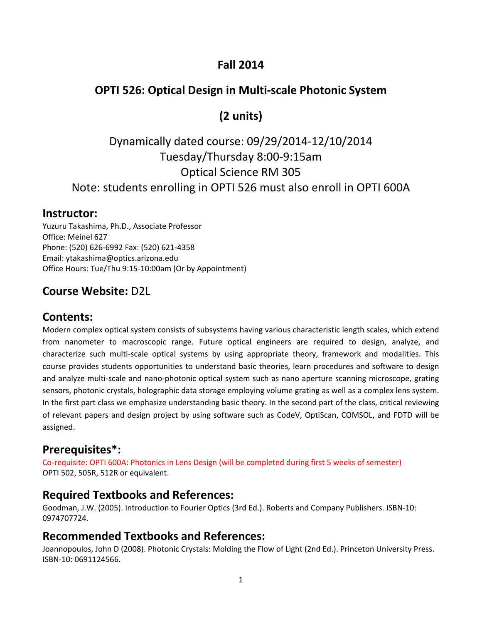# **Fall 2014**

### **OPTI 526: Optical Design in Multi‐scale Photonic System**

# **(2 units)**

# Dynamically dated course: 09/29/2014‐12/10/2014 Tuesday/Thursday 8:00‐9:15am Optical Science RM 305 Note: students enrolling in OPTI 526 must also enroll in OPTI 600A

#### **Instructor:**

Yuzuru Takashima, Ph.D., Associate Professor Office: Meinel 627 Phone: (520) 626‐6992 Fax: (520) 621‐4358 Email: ytakashima@optics.arizona.edu Office Hours: Tue/Thu 9:15‐10:00am (Or by Appointment)

# **Course Website:** D2L

#### **Contents:**

Modern complex optical system consists of subsystems having various characteristic length scales, which extend from nanometer to macroscopic range. Future optical engineers are required to design, analyze, and characterize such multi‐scale optical systems by using appropriate theory, framework and modalities. This course provides students opportunities to understand basic theories, learn procedures and software to design and analyze multi-scale and nano-photonic optical system such as nano aperture scanning microscope, grating sensors, photonic crystals, holographic data storage employing volume grating as well as a complex lens system. In the first part class we emphasize understanding basic theory. In the second part of the class, critical reviewing of relevant papers and design project by using software such as CodeV, OptiScan, COMSOL, and FDTD will be assigned.

#### **Prerequisites\*:**

Co-requisite: OPTI 600A: Photonics in Lens Design (will be completed during first 5 weeks of semester) OPTI 502, 505R, 512R or equivalent.

#### **Required Textbooks and References:**

Goodman, J.W. (2005). Introduction to Fourier Optics (3rd Ed.). Roberts and Company Publishers. ISBN‐10: 0974707724.

#### **Recommended Textbooks and References:**

Joannopoulos, John D (2008). Photonic Crystals: Molding the Flow of Light (2nd Ed.). Princeton University Press. ISBN‐10: 0691124566.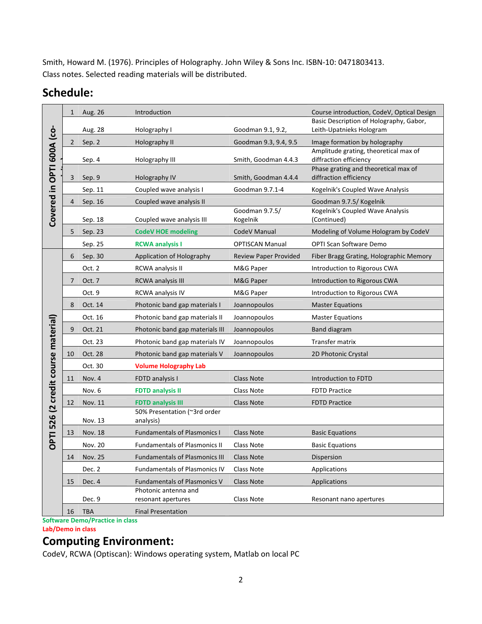Smith, Howard M. (1976). Principles of Holography. John Wiley & Sons Inc. ISBN‐10: 0471803413. Class notes. Selected reading materials will be distributed.

# **Schedule:**

| Covered in OPTI 600A (co-           | $\mathbf{1}$ | Aug. 26        | Introduction                               |                            | Course introduction, CodeV, Optical Design                          |
|-------------------------------------|--------------|----------------|--------------------------------------------|----------------------------|---------------------------------------------------------------------|
|                                     |              | Aug. 28        | Holography I                               | Goodman 9.1, 9.2,          | Basic Description of Holography, Gabor,<br>Leith-Upatnieks Hologram |
|                                     | $\mathbf{2}$ | Sep. 2         | Holography II                              | Goodman 9.3, 9.4, 9.5      | Image formation by holography                                       |
|                                     |              | Sep. 4         | Holography III                             | Smith, Goodman 4.4.3       | Amplitude grating, theoretical max of<br>diffraction efficiency     |
|                                     | 3            | Sep. 9         | Holography IV                              | Smith, Goodman 4.4.4       | Phase grating and theoretical max of<br>diffraction efficiency      |
|                                     |              | Sep. 11        | Coupled wave analysis I                    | Goodman 9.7.1-4            | Kogelnik's Coupled Wave Analysis                                    |
|                                     | 4            | Sep. 16        | Coupled wave analysis II                   |                            | Goodman 9.7.5/ Kogelnik                                             |
|                                     |              | Sep. 18        | Coupled wave analysis III                  | Goodman 9.7.5/<br>Kogelnik | Kogelnik's Coupled Wave Analysis<br>(Continued)                     |
|                                     | 5            | Sep. 23        | <b>CodeV HOE modeling</b>                  | CodeV Manual               | Modeling of Volume Hologram by CodeV                                |
|                                     |              | Sep. 25        | <b>RCWA analysis I</b>                     | <b>OPTISCAN Manual</b>     | <b>OPTI Scan Software Demo</b>                                      |
| OPTI 526 (2 credit course material) | 6            | Sep. 30        | Application of Holography                  | Review Paper Provided      | Fiber Bragg Grating, Holographic Memory                             |
|                                     |              | Oct. 2         | RCWA analysis II                           | M&G Paper                  | Introduction to Rigorous CWA                                        |
|                                     | 7            | Oct. 7         | <b>RCWA analysis III</b>                   | M&G Paper                  | Introduction to Rigorous CWA                                        |
|                                     |              | Oct. 9         | RCWA analysis IV                           | M&G Paper                  | Introduction to Rigorous CWA                                        |
|                                     | 8            | Oct. 14        | Photonic band gap materials I              | Joannopoulos               | <b>Master Equations</b>                                             |
|                                     |              | Oct. 16        | Photonic band gap materials II             | Joannopoulos               | <b>Master Equations</b>                                             |
|                                     | 9            | Oct. 21        | Photonic band gap materials III            | Joannopoulos               | <b>Band diagram</b>                                                 |
|                                     |              | Oct. 23        | Photonic band gap materials IV             | Joannopoulos               | Transfer matrix                                                     |
|                                     | 10           | Oct. 28        | Photonic band gap materials V              | Joannopoulos               | 2D Photonic Crystal                                                 |
|                                     |              | Oct. 30        | <b>Volume Holography Lab</b>               |                            |                                                                     |
|                                     | 11           | Nov. 4         | FDTD analysis I                            | <b>Class Note</b>          | Introduction to FDTD                                                |
|                                     |              | Nov. 6         | <b>FDTD analysis II</b>                    | <b>Class Note</b>          | <b>FDTD Practice</b>                                                |
|                                     | 12           | Nov. 11        | <b>FDTD analysis III</b>                   | <b>Class Note</b>          | <b>FDTD Practice</b>                                                |
|                                     |              | Nov. 13        | 50% Presentation (~3rd order<br>analysis)  |                            |                                                                     |
|                                     | 13           | Nov. 18        | <b>Fundamentals of Plasmonics I</b>        | <b>Class Note</b>          | <b>Basic Equations</b>                                              |
|                                     |              | <b>Nov. 20</b> | <b>Fundamentals of Plasmonics II</b>       | <b>Class Note</b>          | <b>Basic Equations</b>                                              |
|                                     | 14           | Nov. 25        | <b>Fundamentals of Plasmonics III</b>      | Class Note                 | Dispersion                                                          |
|                                     |              | Dec. 2         | Fundamentals of Plasmonics IV              | Class Note                 | Applications                                                        |
|                                     | 15           | Dec. 4         | <b>Fundamentals of Plasmonics V</b>        | Class Note                 | Applications                                                        |
|                                     |              | Dec. 9         | Photonic antenna and<br>resonant apertures | Class Note                 | Resonant nano apertures                                             |
|                                     | 16           | <b>TBA</b>     | <b>Final Presentation</b>                  |                            |                                                                     |

**Software Demo/Practice in class Lab/Demo in class**

#### **Computing Environment:**

CodeV, RCWA (Optiscan): Windows operating system, Matlab on local PC